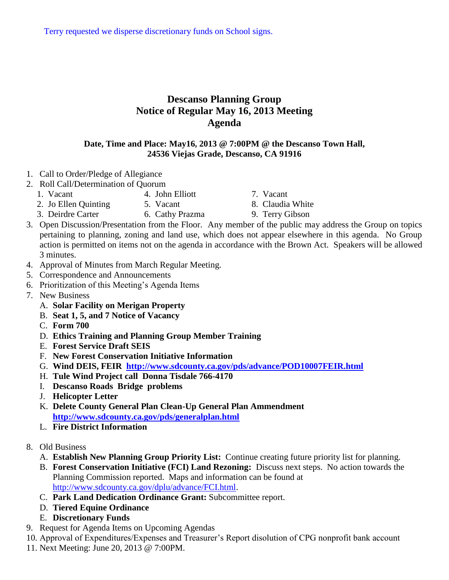Terry requested we disperse discretionary funds on School signs.

## **Descanso Planning Group Notice of Regular May 16, 2013 Meeting Agenda**

## **Date, Time and Place: May16, 2013 @ 7:00PM @ the Descanso Town Hall, 24536 Viejas Grade, Descanso, CA 91916**

- 1. Call to Order/Pledge of Allegiance
- 2. Roll Call/Determination of Quorum
	- 1. Vacant 4. John Elliott 7. Vacant
	- 2. Jo Ellen Quinting 5. Vacant 8. Claudia White
- - 3. Deirdre Carter 6. Cathy Prazma 9. Terry Gibson
		-
- 3. Open Discussion/Presentation from the Floor. Any member of the public may address the Group on topics pertaining to planning, zoning and land use, which does not appear elsewhere in this agenda. No Group action is permitted on items not on the agenda in accordance with the Brown Act. Speakers will be allowed 3 minutes.
- 4. Approval of Minutes from March Regular Meeting.
- 5. Correspondence and Announcements
- 6. Prioritization of this Meeting's Agenda Items
- 7. New Business
	- A. **Solar Facility on Merigan Property**
	- B. **Seat 1, 5, and 7 Notice of Vacancy**
	- C. **Form 700**
	- D. **Ethics Training and Planning Group Member Training**
	- E. **Forest Service Draft SEIS**
	- F. **New Forest Conservation Initiative Information**
	- G. **Wind DEIS, FEIR <http://www.sdcounty.ca.gov/pds/advance/POD10007FEIR.html>**
	- H. **Tule Wind Project call Donna Tisdale 766-4170**
	- I. **Descanso Roads Bridge problems**
	- J. **Helicopter Letter**
	- K. **Delete County General Plan Clean-Up General Plan Ammendment <http://www.sdcounty.ca.gov/pds/generalplan.html>**
	- L. **Fire District Information**
- 8. Old Business
	- A. **Establish New Planning Group Priority List:** Continue creating future priority list for planning.
	- B. **Forest Conservation Initiative (FCI) Land Rezoning:** Discuss next steps. No action towards the Planning Commission reported. Maps and information can be found at [http://www.sdcounty.ca.gov/dplu/advance/FCI.html.](http://www.sdcounty.ca.gov/dplu/advance/FCI.html)
	- C. **Park Land Dedication Ordinance Grant:** Subcommittee report.
	- D. **Tiered Equine Ordinance**
	- E. **Discretionary Funds**
- 9. Request for Agenda Items on Upcoming Agendas
- 10. Approval of Expenditures/Expenses and Treasurer's Report disolution of CPG nonprofit bank account
- 11. Next Meeting: June 20, 2013 @ 7:00PM.